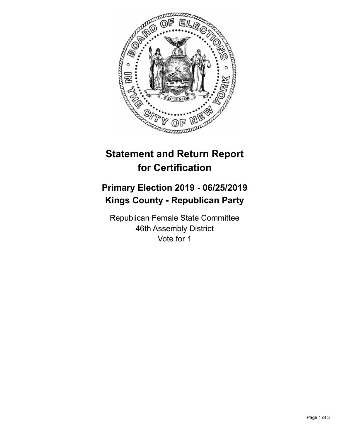

## **Statement and Return Report for Certification**

## **Primary Election 2019 - 06/25/2019 Kings County - Republican Party**

Republican Female State Committee 46th Assembly District Vote for 1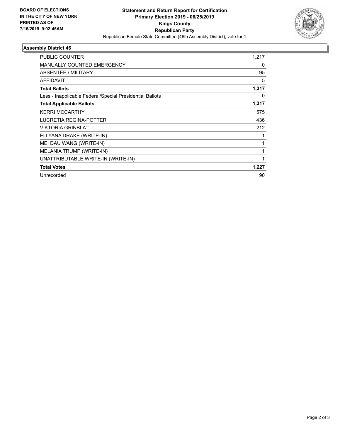

## **Assembly District 46**

| PUBLIC COUNTER                                           | 1,217 |
|----------------------------------------------------------|-------|
| <b>MANUALLY COUNTED EMERGENCY</b>                        | 0     |
| ABSENTEE / MILITARY                                      | 95    |
| AFFIDAVIT                                                | 5     |
| <b>Total Ballots</b>                                     | 1,317 |
| Less - Inapplicable Federal/Special Presidential Ballots | 0     |
| <b>Total Applicable Ballots</b>                          | 1,317 |
| <b>KERRI MCCARTHY</b>                                    | 575   |
| LUCRETIA REGINA-POTTER                                   | 436   |
| <b>VIKTORIA GRINBLAT</b>                                 | 212   |
| ELLYANA DRAKE (WRITE-IN)                                 |       |
| MEI DAU WANG (WRITE-IN)                                  |       |
| MELANIA TRUMP (WRITE-IN)                                 |       |
| UNATTRIBUTABLE WRITE-IN (WRITE-IN)                       | 1     |
| <b>Total Votes</b>                                       | 1,227 |
| Unrecorded                                               | 90    |